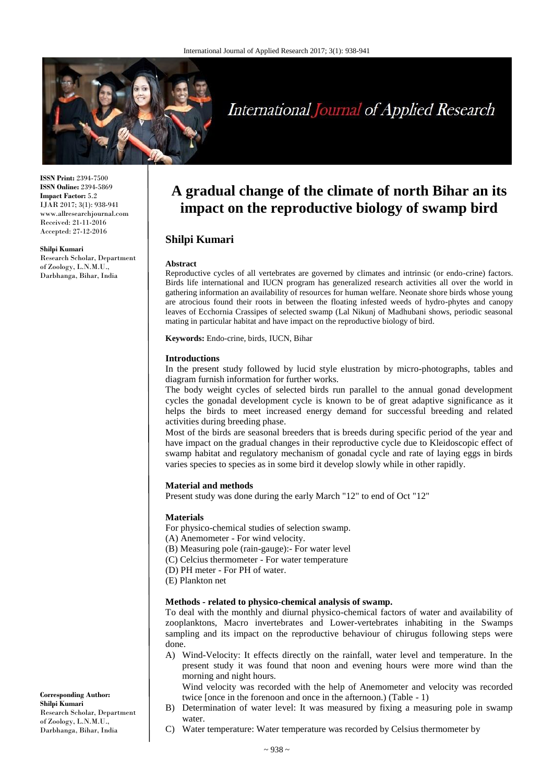

# **International Journal of Applied Research**

**ISSN Print:** 2394-7500 **ISSN Online:** 2394-5869 **Impact Factor:** 5.2 IJAR 2017; 3(1): 938-941 www.allresearchjournal.com Received: 21-11-2016 Accepted: 27-12-2016

#### **Shilpi Kumari**

Research Scholar, Department of Zoology, L.N.M.U., Darbhanga, Bihar, India

## **A gradual change of the climate of north Bihar an its impact on the reproductive biology of swamp bird**

## **Shilpi Kumari**

#### **Abstract**

Reproductive cycles of all vertebrates are governed by climates and intrinsic (or endo-crine) factors. Birds life international and IUCN program has generalized research activities all over the world in gathering information an availability of resources for human welfare. Neonate shore birds whose young are atrocious found their roots in between the floating infested weeds of hydro-phytes and canopy leaves of Ecchornia Crassipes of selected swamp (Lal Nikunj of Madhubani shows, periodic seasonal mating in particular habitat and have impact on the reproductive biology of bird.

**Keywords:** Endo-crine, birds, IUCN, Bihar

#### **Introductions**

In the present study followed by lucid style elustration by micro-photographs, tables and diagram furnish information for further works.

The body weight cycles of selected birds run parallel to the annual gonad development cycles the gonadal development cycle is known to be of great adaptive significance as it helps the birds to meet increased energy demand for successful breeding and related activities during breeding phase.

Most of the birds are seasonal breeders that is breeds during specific period of the year and have impact on the gradual changes in their reproductive cycle due to Kleidoscopic effect of swamp habitat and regulatory mechanism of gonadal cycle and rate of laying eggs in birds varies species to species as in some bird it develop slowly while in other rapidly.

#### **Material and methods**

Present study was done during the early March "12" to end of Oct "12"

#### **Materials**

For physico-chemical studies of selection swamp.

- (A) Anemometer For wind velocity.
- (B) Measuring pole (rain-gauge):- For water level
- (C) Celcius thermometer For water temperature
- (D) PH meter For PH of water.
- (E) Plankton net

#### **Methods - related to physico-chemical analysis of swamp.**

To deal with the monthly and diurnal physico-chemical factors of water and availability of zooplanktons, Macro invertebrates and Lower-vertebrates inhabiting in the Swamps sampling and its impact on the reproductive behaviour of chirugus following steps were done.

A) Wind-Velocity: It effects directly on the rainfall, water level and temperature. In the present study it was found that noon and evening hours were more wind than the morning and night hours.

Wind velocity was recorded with the help of Anemometer and velocity was recorded twice [once in the forenoon and once in the afternoon.) (Table - 1)

- B) Determination of water level: It was measured by fixing a measuring pole in swamp water.
- C) Water temperature: Water temperature was recorded by Celsius thermometer by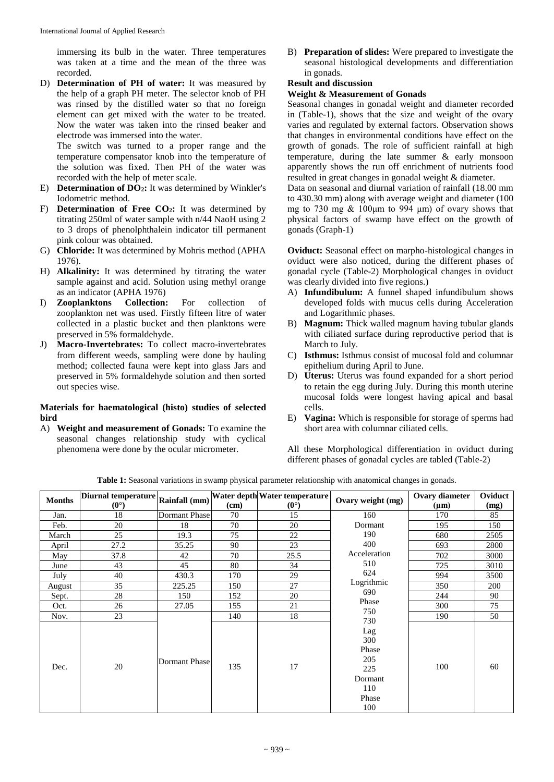immersing its bulb in the water. Three temperatures was taken at a time and the mean of the three was recorded.

D) **Determination of PH of water:** It was measured by the help of a graph PH meter. The selector knob of PH was rinsed by the distilled water so that no foreign element can get mixed with the water to be treated. Now the water was taken into the rinsed beaker and electrode was immersed into the water.

The switch was turned to a proper range and the temperature compensator knob into the temperature of the solution was fixed. Then PH of the water was recorded with the help of meter scale.

- E) **Determination of DO2:** It was determined by Winkler's Iodometric method.
- F) **Determination of Free CO2:** It was determined by titrating 250ml of water sample with n/44 NaoH using 2 to 3 drops of phenolphthalein indicator till permanent pink colour was obtained.
- G) **Chloride:** It was determined by Mohris method (APHA 1976).
- H) **Alkalinity:** It was determined by titrating the water sample against and acid. Solution using methyl orange as an indicator (APHA 1976)<br>**Zooplanktons Collection:**
- I) **Zooplanktons Collection:** For collection of zooplankton net was used. Firstly fifteen litre of water collected in a plastic bucket and then planktons were preserved in 5% formaldehyde.
- J) **Macro-Invertebrates:** To collect macro-invertebrates from different weeds, sampling were done by hauling method; collected fauna were kept into glass Jars and preserved in 5% formaldehyde solution and then sorted out species wise.

#### **Materials for haematological (histo) studies of selected bird**

A) **Weight and measurement of Gonads:** To examine the seasonal changes relationship study with cyclical phenomena were done by the ocular micrometer.

B) **Preparation of slides:** Were prepared to investigate the seasonal histological developments and differentiation in gonads.

## **Result and discussion**

## **Weight & Measurement of Gonads**

Seasonal changes in gonadal weight and diameter recorded in (Table-1), shows that the size and weight of the ovary varies and regulated by external factors. Observation shows that changes in environmental conditions have effect on the growth of gonads. The role of sufficient rainfall at high temperature, during the late summer & early monsoon apparently shows the run off enrichment of nutrients food resulted in great changes in gonadal weight & diameter.

Data on seasonal and diurnal variation of rainfall (18.00 mm to 430.30 mm) along with average weight and diameter (100 mg to 730 mg  $& 100 \mu m$  to 994  $\mu m$ ) of ovary shows that physical factors of swamp have effect on the growth of gonads (Graph-1)

**Oviduct:** Seasonal effect on marpho-histological changes in oviduct were also noticed, during the different phases of gonadal cycle (Table-2) Morphological changes in oviduct was clearly divided into five regions.)

- A) **Infundibulum:** A funnel shaped infundibulum shows developed folds with mucus cells during Acceleration and Logarithmic phases.
- B) **Magnum:** Thick walled magnum having tubular glands with ciliated surface during reproductive period that is March to July.
- C) **Isthmus:** Isthmus consist of mucosal fold and columnar epithelium during April to June.
- D) **Uterus:** Uterus was found expanded for a short period to retain the egg during July. During this month uterine mucosal folds were longest having apical and basal cells.
- E) **Vagina:** Which is responsible for storage of sperms had short area with columnar ciliated cells.

All these Morphological differentiation in oviduct during different phases of gonadal cycles are tabled (Table-2)

**Table 1:** Seasonal variations in swamp physical parameter relationship with anatomical changes in gonads.

| <b>Months</b> | Diurnal temperature Rainfall (mm) Water depth Water temperature<br>$(0^{\circ})$ |                      | (cm) | $(0^{\circ})$ | Ovary weight (mg)                                                   | Ovary diameter<br>(µm) | Oviduct<br>(mg) |
|---------------|----------------------------------------------------------------------------------|----------------------|------|---------------|---------------------------------------------------------------------|------------------------|-----------------|
| Jan.          | 18                                                                               | Dormant Phase        | 70   | 15            | 160                                                                 | 170                    | 85              |
| Feb.          | 20                                                                               | 18                   | 70   | 20            | Dormant                                                             | 195                    | 150             |
| March         | 25                                                                               | 19.3                 | 75   | 22            | 190                                                                 | 680                    | 2505            |
| April         | 27.2                                                                             | 35.25                | 90   | 23            | 400                                                                 | 693                    | 2800            |
| May           | 37.8                                                                             | 42                   | 70   | 25.5          | Acceleration                                                        | 702                    | 3000            |
| June          | 43                                                                               | 45                   | 80   | 34            | 510                                                                 | 725                    | 3010            |
| July          | 40                                                                               | 430.3                | 170  | 29            | 624                                                                 | 994                    | 3500            |
| August        | 35                                                                               | 225.25               | 150  | 27            | Logrithmic                                                          | 350                    | 200             |
| Sept.         | 28                                                                               | 150                  | 152  | 20            | 690                                                                 | 244                    | 90              |
| Oct.          | 26                                                                               | 27.05                | 155  | 21            | Phase<br>750                                                        | 300                    | 75              |
| Nov.          | 23                                                                               |                      | 140  | 18            | 730                                                                 | 190                    | 50              |
| Dec.          | 20                                                                               | <b>Dormant Phase</b> | 135  | 17            | Lag<br>300<br>Phase<br>205<br>225<br>Dormant<br>110<br>Phase<br>100 | 100                    | 60              |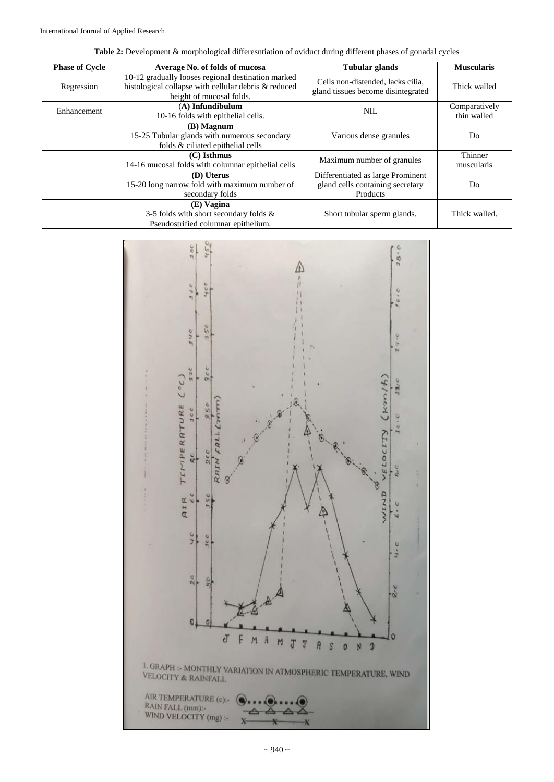|  |  | Table 2: Development & morphological differesntiation of oviduct during different phases of gonadal cycles |
|--|--|------------------------------------------------------------------------------------------------------------|
|  |  |                                                                                                            |

| <b>Phase of Cycle</b> | Average No. of folds of mucosa                                                                                                         | Tubular glands                                                                    | <b>Muscularis</b>            |
|-----------------------|----------------------------------------------------------------------------------------------------------------------------------------|-----------------------------------------------------------------------------------|------------------------------|
| Regression            | 10-12 gradually looses regional destination marked<br>histological collapse with cellular debris & reduced<br>height of mucosal folds. | Cells non-distended, lacks cilia,<br>gland tissues become disintegrated           | Thick walled                 |
| Enhancement           | (A) Infundibulum<br>10-16 folds with epithelial cells.                                                                                 | NIL.                                                                              | Comparatively<br>thin walled |
|                       | (B) Magnum<br>15-25 Tubular glands with numerous secondary<br>folds & ciliated epithelial cells                                        | Various dense granules                                                            | Do                           |
|                       | $(C)$ Isthmus<br>14-16 mucosal folds with columnar epithelial cells                                                                    | Maximum number of granules                                                        | Thinner<br>muscularis        |
|                       | (D) Uterus<br>15-20 long narrow fold with maximum number of<br>secondary folds                                                         | Differentiated as large Prominent<br>gland cells containing secretary<br>Products | D <sub>0</sub>               |
|                       | (E) Vagina<br>3-5 folds with short secondary folds $\&$<br>Pseudostrified columnar epithelium.                                         | Short tubular sperm glands.                                                       | Thick walled.                |